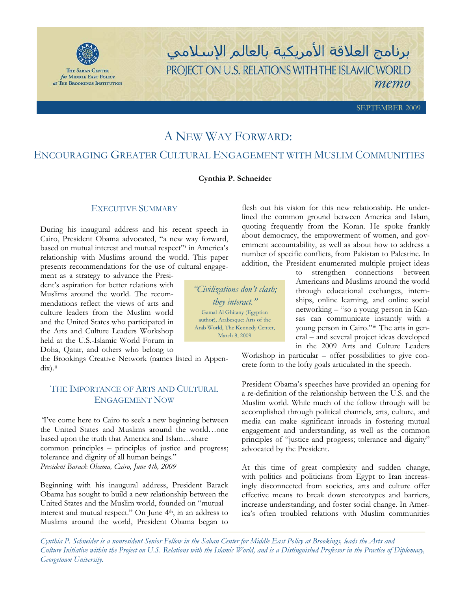

for MIDDLE EAST POLICY at THE BROOKINGS INSTITUTION برنامج العلاقة الأمريكية بالعالم الإسلامي PROJECT ON U.S. RELATIONS WITH THE ISLAMIC WORLD тето

SEPTEMBER 2009

# A NEW WAY FORWARD:

## ENCOURAGING GREATER CULTURAL ENGAGEMENT WITH MUSLIM COMMUNITIES

#### **Cynthia P. Schneider**

### EXECUTIVE SUMMARY

During his inaugural address and his recent speech in Cairo, President Obama advocated, "a new way forward, based on mutual interest and mutual respect"<sup>i</sup> in America's relationship with Muslims around the world. This paper presents recommendations for the use of cultural engage-

ment as a strategy to advance the President's aspiration for better relations with Muslims around the world. The recommendations reflect the views of arts and culture leaders from the Muslim world and the United States who participated in the Arts and Culture Leaders Workshop held at the U.S.-Islamic World Forum in Doha, Qatar, and others who belong to

the Brookings Creative Network (names listed in Appendix).<sup>ii</sup>

## THE IMPORTANCE OF ARTS AND CULTURAL ENGAGEMENT NOW

*"*I've come here to Cairo to seek a new beginning between the United States and Muslims around the world…one based upon the truth that America and Islam…share common principles – principles of justice and progress; tolerance and dignity of all human beings." *President Barack Obama, Cairo, June 4th, 2009* 

Beginning with his inaugural address, President Barack Obama has sought to build a new relationship between the United States and the Muslim world, founded on "mutual interest and mutual respect." On June 4<sup>th</sup>, in an address to Muslims around the world, President Obama began to

quoting frequently from the Koran. He spoke frankly about democracy, the empowerment of women, and government accountability, as well as about how to address a number of specific conflicts, from Pakistan to Palestine. In addition, the President enumerated multiple project ideas to strengthen connections between

flesh out his vision for this new relationship. He underlined the common ground between America and Islam,

> Americans and Muslims around the world through educational exchanges, internships, online learning, and online social networking – "so a young person in Kansas can communicate instantly with a young person in Cairo."iii The arts in general – and several project ideas developed in the 2009 Arts and Culture Leaders

Workshop in particular – offer possibilities to give concrete form to the lofty goals articulated in the speech.

President Obama's speeches have provided an opening for a re-definition of the relationship between the U.S. and the Muslim world. While much of the follow through will be accomplished through political channels, arts, culture, and media can make significant inroads in fostering mutual engagement and understanding, as well as the common principles of "justice and progress; tolerance and dignity" advocated by the President.

At this time of great complexity and sudden change, with politics and politicians from Egypt to Iran increasingly disconnected from societies, arts and culture offer effective means to break down stereotypes and barriers, increase understanding, and foster social change. In America's often troubled relations with Muslim communities

*Cynthia P. Schneider is a nonresident Senior Fellow in the Saban Center for Middle East Policy at Brookings, leads the Arts and Culture Initiative within the Project on U.S. Relations with the Islamic World, and is a Distinguished Professor in the Practice of Diplomacy, Georgetown University.* 

*"Civilizations don't clash; they interact."*  Gamal Al Ghitany (Egyptian author), Arabesque: Arts of the Arab World, The Kennedy Center, March 8, 2009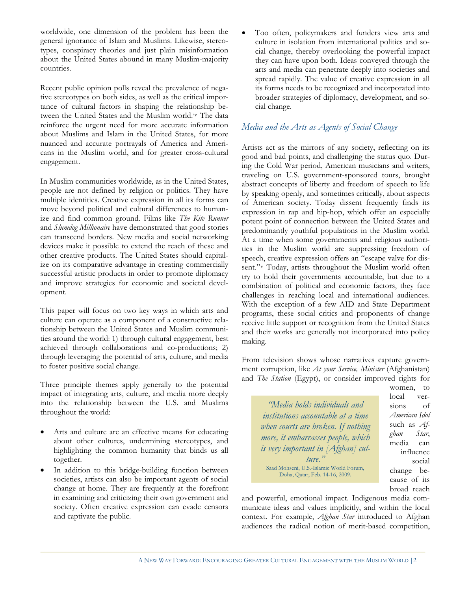worldwide, one dimension of the problem has been the general ignorance of Islam and Muslims. Likewise, stereotypes, conspiracy theories and just plain misinformation about the United States abound in many Muslim-majority countries.

Recent public opinion polls reveal the prevalence of negative stereotypes on both sides, as well as the critical importance of cultural factors in shaping the relationship between the United States and the Muslim world.<sup>iv</sup> The data reinforce the urgent need for more accurate information about Muslims and Islam in the United States, for more nuanced and accurate portrayals of America and Americans in the Muslim world, and for greater cross-cultural engagement.

In Muslim communities worldwide, as in the United States, people are not defined by religion or politics. They have multiple identities. Creative expression in all its forms can move beyond political and cultural differences to humanize and find common ground. Films like *The Kite Runner*  and *Slumdog Millionaire* have demonstrated that good stories can transcend borders*.* New media and social networking devices make it possible to extend the reach of these and other creative products. The United States should capitalize on its comparative advantage in creating commercially successful artistic products in order to promote diplomacy and improve strategies for economic and societal development.

This paper will focus on two key ways in which arts and culture can operate as a component of a constructive relationship between the United States and Muslim communities around the world: 1) through cultural engagement, best achieved through collaborations and co-productions; 2) through leveraging the potential of arts, culture, and media to foster positive social change.

Three principle themes apply generally to the potential impact of integrating arts, culture, and media more deeply into the relationship between the U.S. and Muslims throughout the world:

- - Arts and culture are an effective means for educating about other cultures, undermining stereotypes, and highlighting the common humanity that binds us all together.
- $\bullet$  In addition to this bridge-building function between societies, artists can also be important agents of social change at home. They are frequently at the forefront in examining and criticizing their own government and society. Often creative expression can evade censors and captivate the public.

 $\bullet$  Too often, policymakers and funders view arts and culture in isolation from international politics and social change, thereby overlooking the powerful impact they can have upon both. Ideas conveyed through the arts and media can penetrate deeply into societies and spread rapidly. The value of creative expression in all its forms needs to be recognized and incorporated into broader strategies of diplomacy, development, and social change.

## *Media and the Arts as Agents of Social Change*

Artists act as the mirrors of any society, reflecting on its good and bad points, and challenging the status quo. During the Cold War period, American musicians and writers, traveling on U.S. government-sponsored tours, brought abstract concepts of liberty and freedom of speech to life by speaking openly, and sometimes critically, about aspects of American society. Today dissent frequently finds its expression in rap and hip-hop, which offer an especially potent point of connection between the United States and predominantly youthful populations in the Muslim world. At a time when some governments and religious authorities in the Muslim world are suppressing freedom of speech, creative expression offers an "escape valve for dissent."v Today, artists throughout the Muslim world often try to hold their governments accountable, but due to a combination of political and economic factors, they face challenges in reaching local and international audiences. With the exception of a few AID and State Department programs, these social critics and proponents of change receive little support or recognition from the United States and their works are generally not incorporated into policy making.

From television shows whose narratives capture government corruption, like *At your Service, Minister* (Afghanistan) and *The Station* (Egypt), or consider improved rights for

*"Media holds individuals and institutions accountable at a time when courts are broken. If nothing more, it embarrasses people, which is very important in [Afghan] culture."*  Saad Mohseni, U.S.-Islamic World Forum, Doha, Qatar, Feb. 14-16, 2009.

women, to local versions of *American Idol*  such as *Afghan Star*, media can influence social change because of its broad reach

and powerful, emotional impact. Indigenous media communicate ideas and values implicitly, and within the local context. For example, *Afghan Star* introduced to Afghan audiences the radical notion of merit-based competition,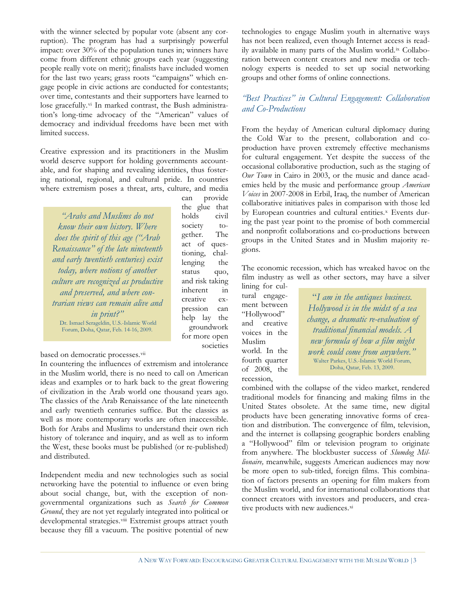with the winner selected by popular vote (absent any corruption). The program has had a surprisingly powerful impact: over 30% of the population tunes in; winners have come from different ethnic groups each year (suggesting people really vote on merit); finalists have included women for the last two years; grass roots "campaigns" which engage people in civic actions are conducted for contestants; over time, contestants and their supporters have learned to lose gracefully.<sup>vi</sup> In marked contrast, the Bush administration's long-time advocacy of the "American" values of democracy and individual freedoms have been met with limited success.

Creative expression and its practitioners in the Muslim world deserve support for holding governments accountable, and for shaping and revealing identities, thus fostering national, regional, and cultural pride. In countries where extremism poses a threat, arts, culture, and media

*"Arabs and Muslims do not know their own history. Where does the spirit of this age ("Arab Renaissance" of the late nineteenth and early twentieth centuries) exist today, where notions of another culture are recognized as productive and preserved, and where contrarian views can remain alive and in print?"* Dr. Ismael Serageldin, U.S.-Islamic World Forum, Doha, Qatar, Feb. 14-16, 2009.

can provide the glue that holds civil society together. The act of questioning, challenging the status quo, and risk taking inherent in creative expression can help lay the groundwork for more open societies

based on democratic processes.vii

In countering the influences of extremism and intolerance in the Muslim world, there is no need to call on American ideas and examples or to hark back to the great flowering of civilization in the Arab world one thousand years ago. The classics of the Arab Renaissance of the late nineteenth and early twentieth centuries suffice. But the classics as well as more contemporary works are often inaccessible. Both for Arabs and Muslims to understand their own rich history of tolerance and inquiry, and as well as to inform the West, these books must be published (or re-published) and distributed.

Independent media and new technologies such as social networking have the potential to influence or even bring about social change, but, with the exception of nongovernmental organizations such as *Search for Common Ground*, they are not yet regularly integrated into political or developmental strategies.viii Extremist groups attract youth because they fill a vacuum. The positive potential of new

technologies to engage Muslim youth in alternative ways has not been realized, even though Internet access is readily available in many parts of the Muslim world.ix Collaboration between content creators and new media or technology experts is needed to set up social networking groups and other forms of online connections.

## *"Best Practices" in Cultural Engagement: Collaboration and Co-Productions*

From the heyday of American cultural diplomacy during the Cold War to the present, collaboration and coproduction have proven extremely effective mechanisms for cultural engagement. Yet despite the success of the occasional collaborative production, such as the staging of *Our Town* in Cairo in 2003, or the music and dance academies held by the music and performance group *American Voices* in 2007-2008 in Erbil, Iraq, the number of American collaborative initiatives pales in comparison with those led by European countries and cultural entities.<sup>x</sup> Events during the past year point to the promise of both commercial and nonprofit collaborations and co-productions between groups in the United States and in Muslim majority regions.

The economic recession, which has wreaked havoc on the film industry as well as other sectors, may have a silver

lining for cultural engagement between "Hollywood" and creative voices in the Muslim world. In the fourth quarter of 2008, the recession,

"*I am in the antiques business. Hollywood is in the midst of a sea change, a dramatic re-evaluation of traditional financial models. A new formula of how a film might work could come from anywhere."* Walter Parkes, U.S.-Islamic World Forum, Doha, Qatar, Feb. 13, 2009.

combined with the collapse of the video market, rendered traditional models for financing and making films in the United States obsolete. At the same time, new digital products have been generating innovative forms of creation and distribution. The convergence of film, television, and the internet is collapsing geographic borders enabling a "Hollywood" film or television program to originate from anywhere. The blockbuster success of *Slumdog Millionaire,* meanwhile, suggests American audiences may now be more open to sub-titled, foreign films. This combination of factors presents an opening for film makers from the Muslim world, and for international collaborations that connect creators with investors and producers, and creative products with new audiences.xi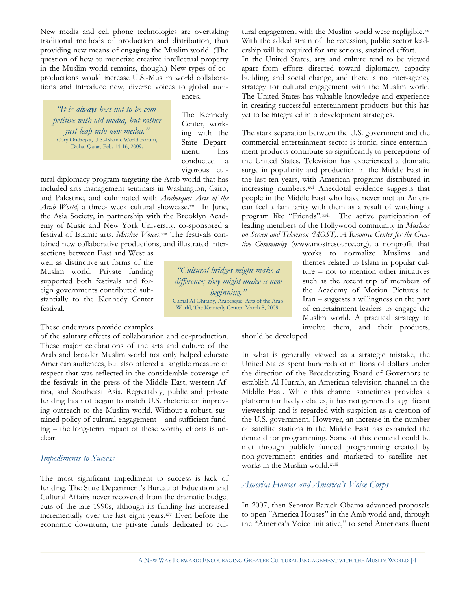New media and cell phone technologies are overtaking traditional methods of production and distribution, thus providing new means of engaging the Muslim world. (The question of how to monetize creative intellectual property in the Muslim world remains, though.) New types of coproductions would increase U.S.-Muslim world collaborations and introduce new, diverse voices to global audi-

*petitive with old media, but rather just leap into new media."* Cory Ondrejka, U.S.-Islamic World Forum, Doha, Qatar, Feb. 14-16, 2009.

ences.

The Kennedy Center, working with the State Department, has conducted a vigorous cul-

*"Cultural bridges might make a difference; they might make a new beginning."* Gamal Al Ghitany, Arabesque: Arts of the Arab World, The Kennedy Center, March 8, 2009.

tural diplomacy program targeting the Arab world that has included arts management seminars in Washington, Cairo, and Palestine, and culminated with *Arabesque: Arts of the Arab World*, a three- week cultural showcase.xii In June, the Asia Society, in partnership with the Brooklyn Academy of Music and New York University, co-sponsored a festival of Islamic arts, *Muslim Voices*.xiii The festivals contained new collaborative productions, and illustrated inter-

sections between East and West as well as distinctive art forms of the Muslim world. Private funding supported both festivals and foreign governments contributed substantially to the Kennedy Center festival.

#### These endeavors provide examples

of the salutary effects of collaboration and co-production. These major celebrations of the arts and culture of the Arab and broader Muslim world not only helped educate American audiences, but also offered a tangible measure of respect that was reflected in the considerable coverage of the festivals in the press of the Middle East, western Africa, and Southeast Asia. Regrettably, public and private funding has not begun to match U.S. rhetoric on improving outreach to the Muslim world. Without a robust, sustained policy of cultural engagement – and sufficient funding – the long-term impact of these worthy efforts is unclear.

#### *Impediments to Success*

The most significant impediment to success is lack of funding. The State Department's Bureau of Education and Cultural Affairs never recovered from the dramatic budget cuts of the late 1990s, although its funding has increased incrementally over the last eight years.xiv Even before the economic downturn, the private funds dedicated to cultural engagement with the Muslim world were negligible.xv With the added strain of the recession, public sector leadership will be required for any serious, sustained effort. In the United States, arts and culture tend to be viewed apart from efforts directed toward diplomacy, capacity building, and social change, and there is no inter-agency strategy for cultural engagement with the Muslim world.

The United States has valuable knowledge and experience in creating successful entertainment products but this has yet to be *in* creating successful entertainment products b<br>The Kennedy best not be integrated into development strategies.

> The stark separation between the U.S. government and the commercial entertainment sector is ironic, since entertainment products contribute so significantly to perceptions of the United States. Television has experienced a dramatic surge in popularity and production in the Middle East in the last ten years, with American programs distributed in increasing numbers.xvi Anecdotal evidence suggests that people in the Middle East who have never met an American feel a familiarity with them as a result of watching a program like "Friends".xvii The active participation of leading members of the Hollywood community in *Muslims on Screen and Television (MOST): A Resource Center for the Creative Community* (www.mostresource.org)*,* a nonprofit that

works to normalize Muslims and themes related to Islam in popular culture – not to mention other initiatives such as the recent trip of members of the Academy of Motion Pictures to Iran – suggests a willingness on the part of entertainment leaders to engage the Muslim world. A practical strategy to involve them, and their products,

should be developed.

In what is generally viewed as a strategic mistake, the United States spent hundreds of millions of dollars under the direction of the Broadcasting Board of Governors to establish Al Hurrah, an American television channel in the Middle East. While this channel sometimes provides a platform for lively debates, it has not garnered a significant viewership and is regarded with suspicion as a creation of the U.S. government. However, an increase in the number of satellite stations in the Middle East has expanded the demand for programming. Some of this demand could be met through publicly funded programming created by non-government entities and marketed to satellite networks in the Muslim world.xviii

## *America Houses and America's Voice Corps*

In 2007, then Senator Barack Obama advanced proposals to open "America Houses" in the Arab world and, through the "America's Voice Initiative," to send Americans fluent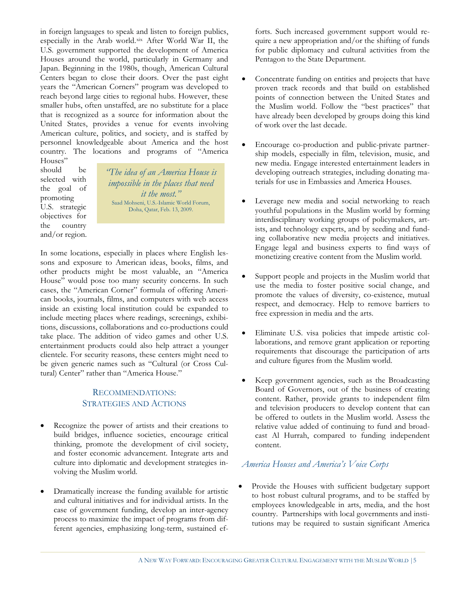in foreign languages to speak and listen to foreign publics, especially in the Arab world.xix After World War II, the U.S. government supported the development of America Houses around the world, particularly in Germany and Japan. Beginning in the 1980s, though, American Cultural Centers began to close their doors. Over the past eight years the "American Corners" program was developed to reach beyond large cities to regional hubs. However, these smaller hubs, often unstaffed, are no substitute for a place that is recognized as a source for information about the United States, provides a venue for events involving American culture, politics, and society, and is staffed by personnel knowledgeable about America and the host country. The locations and programs of "America

Houses" should be selected with the goal of promoting U.S. strategic objectives for the country and/or region.

*"The idea of an America House is impossible in the places that need it the most."* Saad Mohseni, U.S.-Islamic World Forum, Doha, Qatar, Feb. 13, 2009.

In some locations, especially in places where English lessons and exposure to American ideas, books, films, and other products might be most valuable, an "America House" would pose too many security concerns. In such cases, the "American Corner" formula of offering American books, journals, films, and computers with web access inside an existing local institution could be expanded to include meeting places where readings, screenings, exhibitions, discussions, collaborations and co-productions could take place. The addition of video games and other U.S. entertainment products could also help attract a younger clientele. For security reasons, these centers might need to be given generic names such as "Cultural (or Cross Cultural) Center" rather than "America House."

### RECOMMENDATIONS: STRATEGIES AND ACTIONS

- $\bullet$  Recognize the power of artists and their creations to build bridges, influence societies, encourage critical thinking, promote the development of civil society, and foster economic advancement. Integrate arts and culture into diplomatic and development strategies involving the Muslim world.
- $\bullet$  Dramatically increase the funding available for artistic and cultural initiatives and for individual artists. In the case of government funding, develop an inter-agency process to maximize the impact of programs from different agencies, emphasizing long-term, sustained ef-

forts. Such increased government support would require a new appropriation and/or the shifting of funds for public diplomacy and cultural activities from the Pentagon to the State Department.

- - Concentrate funding on entities and projects that have proven track records and that build on established points of connection between the United States and the Muslim world. Follow the "best practices" that have already been developed by groups doing this kind of work over the last decade.
- $\bullet$  Encourage co-production and public-private partnership models, especially in film, television, music, and new media. Engage interested entertainment leaders in developing outreach strategies, including donating materials for use in Embassies and America Houses.
- $\bullet$  Leverage new media and social networking to reach youthful populations in the Muslim world by forming interdisciplinary working groups of policymakers, artists, and technology experts, and by seeding and funding collaborative new media projects and initiatives. Engage legal and business experts to find ways of monetizing creative content from the Muslim world.
- - Support people and projects in the Muslim world that use the media to foster positive social change, and promote the values of diversity, co-existence, mutual respect, and democracy. Help to remove barriers to free expression in media and the arts.
- - Eliminate U.S. visa policies that impede artistic collaborations, and remove grant application or reporting requirements that discourage the participation of arts and culture figures from the Muslim world.
- $\bullet$  Keep government agencies, such as the Broadcasting Board of Governors, out of the business of creating content. Rather, provide grants to independent film and television producers to develop content that can be offered to outlets in the Muslim world. Assess the relative value added of continuing to fund and broadcast Al Hurrah, compared to funding independent content.

## *America Houses and America's Voice Corps*

 $\bullet$  Provide the Houses with sufficient budgetary support to host robust cultural programs, and to be staffed by employees knowledgeable in arts, media, and the host country. Partnerships with local governments and institutions may be required to sustain significant America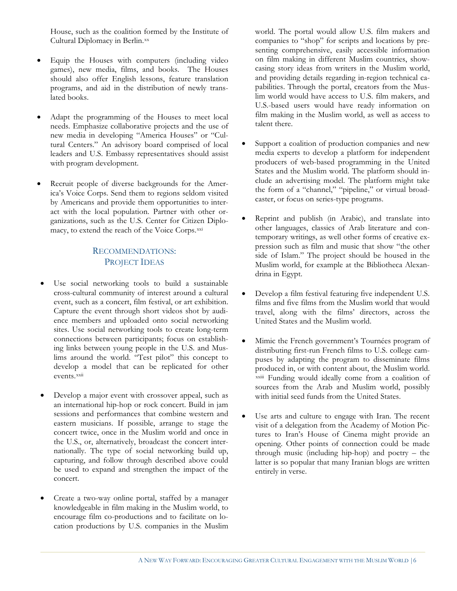House, such as the coalition formed by the Institute of Cultural Diplomacy in Berlin.xx

- $\bullet$  Equip the Houses with computers (including video games), new media, films, and books. The Houses should also offer English lessons, feature translation programs, and aid in the distribution of newly translated books.
- $\bullet$  Adapt the programming of the Houses to meet local needs. Emphasize collaborative projects and the use of new media in developing "America Houses" or "Cultural Centers." An advisory board comprised of local leaders and U.S. Embassy representatives should assist with program development.
- $\bullet$  Recruit people of diverse backgrounds for the America's Voice Corps. Send them to regions seldom visited by Americans and provide them opportunities to interact with the local population. Partner with other organizations, such as the U.S. Center for Citizen Diplomacy, to extend the reach of the Voice Corps.xxi

## RECOMMENDATIONS: PROJECT IDEAS

- $\bullet$  Use social networking tools to build a sustainable cross-cultural community of interest around a cultural event, such as a concert, film festival, or art exhibition. Capture the event through short videos shot by audience members and uploaded onto social networking sites. Use social networking tools to create long-term connections between participants; focus on establishing links between young people in the U.S. and Muslims around the world. "Test pilot" this concept to develop a model that can be replicated for other events.xxii
- $\bullet$  Develop a major event with crossover appeal, such as an international hip-hop or rock concert. Build in jam sessions and performances that combine western and eastern musicians. If possible, arrange to stage the concert twice, once in the Muslim world and once in the U.S., or, alternatively, broadcast the concert internationally. The type of social networking build up, capturing, and follow through described above could be used to expand and strengthen the impact of the concert.
- - Create a two-way online portal, staffed by a manager knowledgeable in film making in the Muslim world, to encourage film co-productions and to facilitate on location productions by U.S. companies in the Muslim

world. The portal would allow U.S. film makers and companies to "shop" for scripts and locations by presenting comprehensive, easily accessible information on film making in different Muslim countries, showcasing story ideas from writers in the Muslim world, and providing details regarding in-region technical capabilities. Through the portal, creators from the Muslim world would have access to U.S. film makers, and U.S.-based users would have ready information on film making in the Muslim world, as well as access to talent there.

- $\bullet$  Support a coalition of production companies and new media experts to develop a platform for independent producers of web-based programming in the United States and the Muslim world. The platform should include an advertising model. The platform might take the form of a "channel," "pipeline," or virtual broadcaster, or focus on series-type programs.
- $\bullet$  Reprint and publish (in Arabic), and translate into other languages, classics of Arab literature and contemporary writings, as well other forms of creative expression such as film and music that show "the other side of Islam." The project should be housed in the Muslim world, for example at the Bibliotheca Alexandrina in Egypt.
- $\bullet$  Develop a film festival featuring five independent U.S. films and five films from the Muslim world that would travel, along with the films' directors, across the United States and the Muslim world.
- - Mimic the French government's Tournées program of distributing first-run French films to U.S. college campuses by adapting the program to disseminate films produced in, or with content about, the Muslim world. xxiii Funding would ideally come from a coalition of sources from the Arab and Muslim world, possibly with initial seed funds from the United States.
- $\bullet$  Use arts and culture to engage with Iran. The recent visit of a delegation from the Academy of Motion Pictures to Iran's House of Cinema might provide an opening. Other points of connection could be made through music (including hip-hop) and poetry – the latter is so popular that many Iranian blogs are written entirely in verse.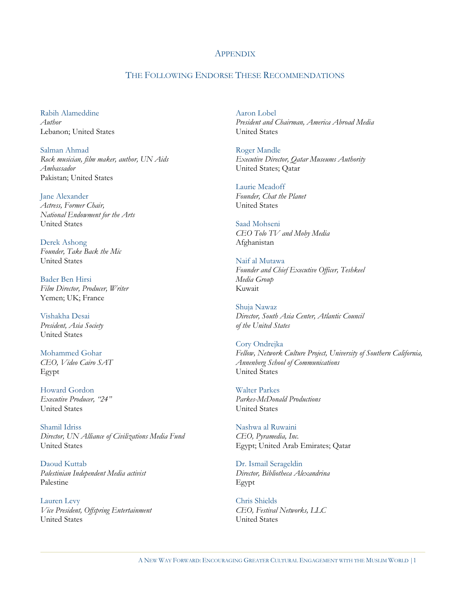#### **APPENDIX**

### THE FOLLOWING ENDORSE THESE RECOMMENDATIONS

Rabih Alameddine *Author* Lebanon; United States

Salman Ahmad *Rock musician, film maker, author, UN Aids Ambassador*  Pakistan; United States

Jane Alexander *Actress, Former Chair, National Endowment for the Arts*  United States

Derek Ashong *Founder, Take Back the Mic*  United States

Bader Ben Hirsi *Film Director, Producer, Writer*  Yemen; UK; France

Vishakha Desai *President, Asia Society*  United States

Mohammed Gohar *CEO, Video Cairo SAT*  Egypt

Howard Gordon *Executive Producer, "24"*  United States

Shamil Idriss *Director, UN Alliance of Civilizations Media Fund*  United States

Daoud Kuttab *Palestinian Independent Media activist*  Palestine

Lauren Levy *Vice President, Offspring Entertainment*  United States

Aaron Lobel *President and Chairman, America Abroad Media*  United States

Roger Mandle *Executive Director, Qatar Museums Authority*  United States; Qatar

Laurie Meadoff *Founder, Chat the Planet*  United States

Saad Mohseni *CEO Tolo TV and Moby Media*  Afghanistan

Naif al Mutawa *Founder and Chief Executive Officer, Teshkeel Media Group*  Kuwait

Shuja Nawaz *Director, South Asia Center, Atlantic Council of the United States* 

Cory Ondrejka *Fellow, Network Culture Project, University of Southern California, Annenberg School of Communications*  United States

Walter Parkes *Parkes-McDonald Productions*  United States

Nashwa al Ruwaini *CEO, Pyramedia, Inc.*  Egypt; United Arab Emirates; Qatar

Dr. Ismail Serageldin *Director, Bibliotheca Alexandrina*  Egypt

Chris Shields *CEO, Festival Networks, LLC*  United States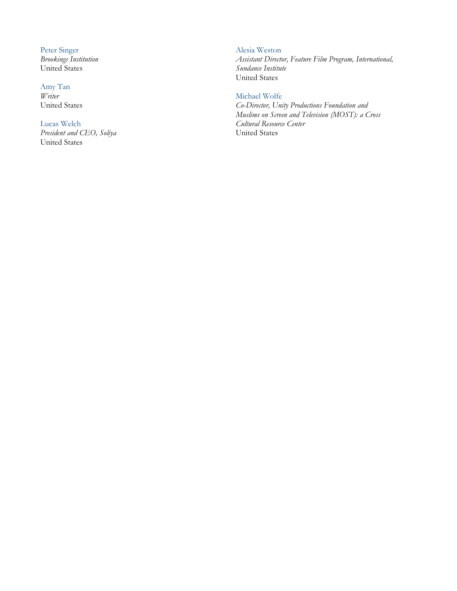Peter Singer *Brookings Institution*  United States

Amy Tan *Writer*  United States

## Lucas Welch

*President and CEO, Soliya*  United States

#### Alesia Weston

*Assistant Director, Feature Film Program, International, Sundance Institute*  United States

#### Michael Wolfe

*Co-Director, Unity Productions Foundation and Muslims on Screen and Television (MOST): a Cross Cultural Resource Center*  United States